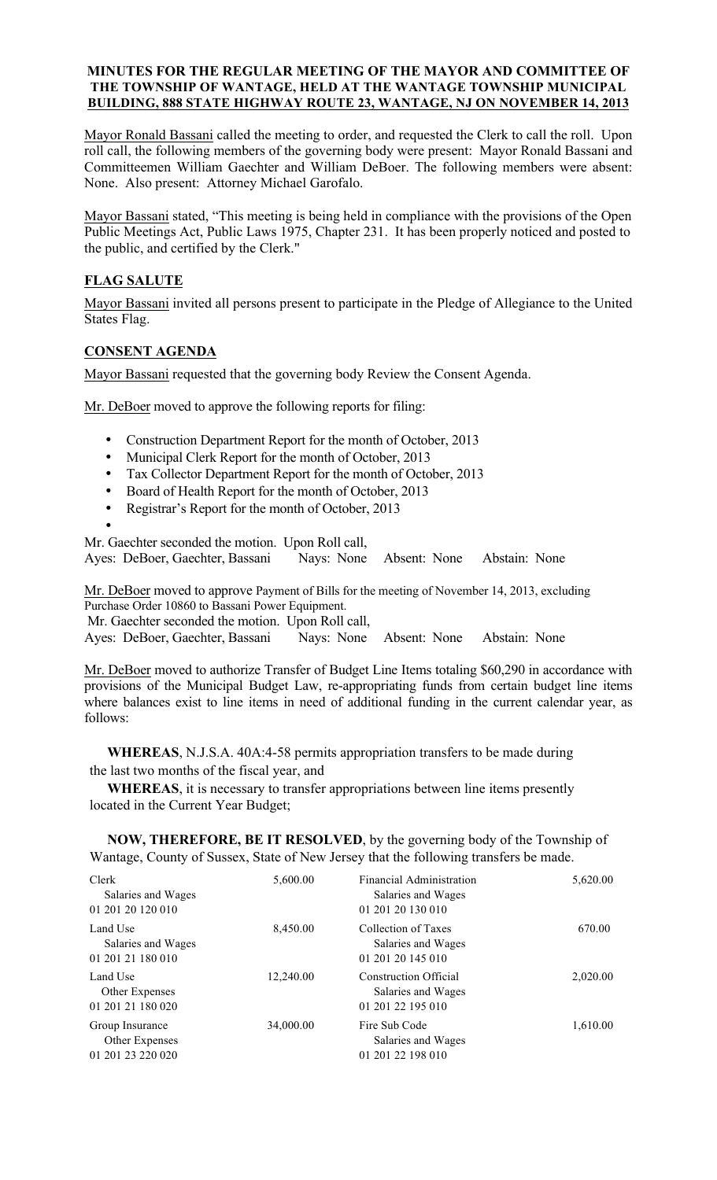## **MINUTES FOR THE REGULAR MEETING OF THE MAYOR AND COMMITTEE OF THE TOWNSHIP OF WANTAGE, HELD AT THE WANTAGE TOWNSHIP MUNICIPAL BUILDING, 888 STATE HIGHWAY ROUTE 23, WANTAGE, NJ ON NOVEMBER 14, 2013**

Mayor Ronald Bassani called the meeting to order, and requested the Clerk to call the roll. Upon roll call, the following members of the governing body were present: Mayor Ronald Bassani and Committeemen William Gaechter and William DeBoer. The following members were absent: None. Also present: Attorney Michael Garofalo.

Mayor Bassani stated, "This meeting is being held in compliance with the provisions of the Open Public Meetings Act, Public Laws 1975, Chapter 231. It has been properly noticed and posted to the public, and certified by the Clerk."

# **FLAG SALUTE**

Mayor Bassani invited all persons present to participate in the Pledge of Allegiance to the United States Flag.

# **CONSENT AGENDA**

Mayor Bassani requested that the governing body Review the Consent Agenda.

Mr. DeBoer moved to approve the following reports for filing:

- Construction Department Report for the month of October, 2013
- Municipal Clerk Report for the month of October, 2013
- Tax Collector Department Report for the month of October, 2013
- Board of Health Report for the month of October, 2013
- Registrar's Report for the month of October, 2013
- •

Mr. Gaechter seconded the motion. Upon Roll call, Ayes: DeBoer, Gaechter, Bassani Nays: None Absent: None Abstain: None

Mr. DeBoer moved to approve Payment of Bills for the meeting of November 14, 2013, excluding Purchase Order 10860 to Bassani Power Equipment.

Mr. Gaechter seconded the motion. Upon Roll call,

Ayes: DeBoer, Gaechter, Bassani Nays: None Absent: None Abstain: None

Mr. DeBoer moved to authorize Transfer of Budget Line Items totaling \$60,290 in accordance with provisions of the Municipal Budget Law, re-appropriating funds from certain budget line items where balances exist to line items in need of additional funding in the current calendar year, as follows:

 **WHEREAS**, N.J.S.A. 40A:4-58 permits appropriation transfers to be made during the last two months of the fiscal year, and

 **WHEREAS**, it is necessary to transfer appropriations between line items presently located in the Current Year Budget;

 **NOW, THEREFORE, BE IT RESOLVED**, by the governing body of the Township of Wantage, County of Sussex, State of New Jersey that the following transfers be made.

| Clerk<br>Salaries and Wages<br>01 201 20 120 010       | 5,600.00  | <b>Financial Administration</b><br>Salaries and Wages<br>01 201 20 130 010 | 5,620.00 |
|--------------------------------------------------------|-----------|----------------------------------------------------------------------------|----------|
| Land Use<br>Salaries and Wages<br>01 201 21 180 010    | 8,450.00  | Collection of Taxes<br>Salaries and Wages<br>01 201 20 145 010             | 670.00   |
| Land Use<br>Other Expenses<br>01 201 21 180 020        | 12,240.00 | Construction Official<br>Salaries and Wages<br>01 201 22 195 010           | 2,020.00 |
| Group Insurance<br>Other Expenses<br>01 201 23 220 020 | 34,000.00 | Fire Sub Code<br>Salaries and Wages<br>01 201 22 198 010                   | 1,610.00 |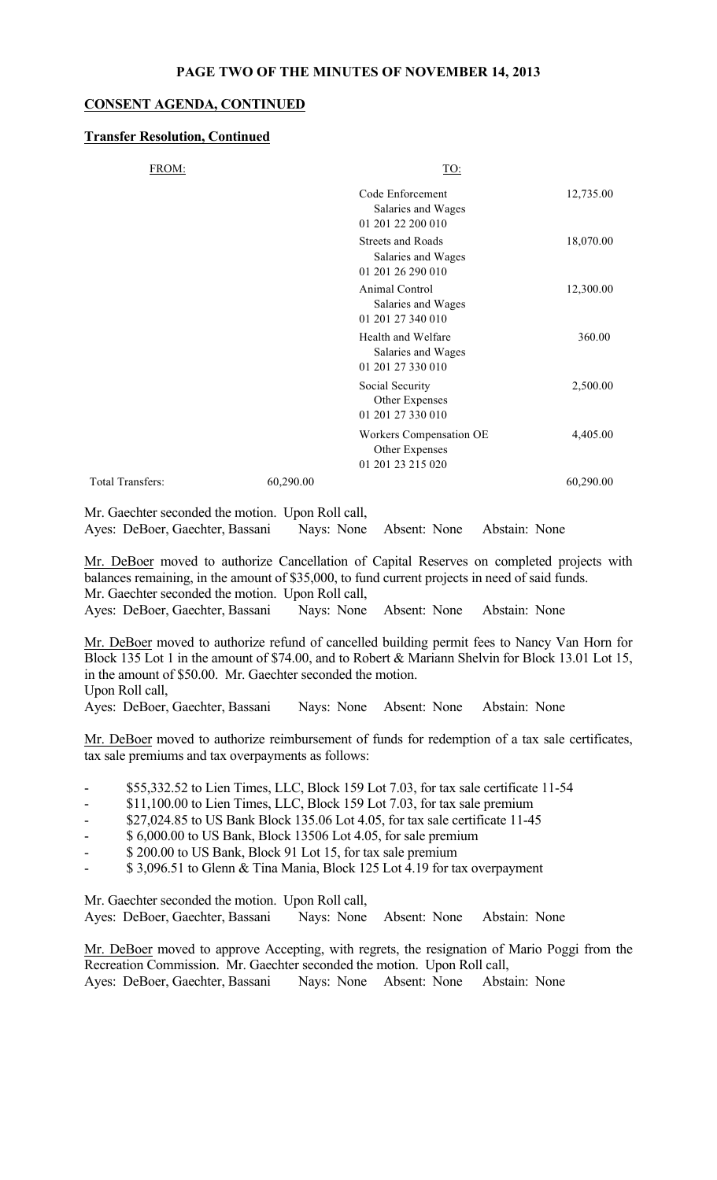#### **PAGE TWO OF THE MINUTES OF NOVEMBER 14, 2013**

# **CONSENT AGENDA, CONTINUED**

# **Transfer Resolution, Continued**

| FROM:            |           | TO:                                                                 |           |
|------------------|-----------|---------------------------------------------------------------------|-----------|
|                  |           | Code Enforcement<br>Salaries and Wages<br>01 201 22 200 010         | 12,735.00 |
|                  |           | <b>Streets and Roads</b><br>Salaries and Wages<br>01 201 26 290 010 | 18,070.00 |
|                  |           | Animal Control<br>Salaries and Wages<br>01 201 27 340 010           | 12,300.00 |
|                  |           | Health and Welfare<br>Salaries and Wages<br>01 201 27 330 010       | 360.00    |
|                  |           | Social Security<br>Other Expenses<br>01 201 27 330 010              | 2,500.00  |
|                  |           | Workers Compensation OE<br>Other Expenses<br>01 201 23 215 020      | 4,405.00  |
| Total Transfers: | 60,290.00 |                                                                     | 60,290.00 |
|                  |           |                                                                     |           |

Mr. Gaechter seconded the motion. Upon Roll call, Ayes: DeBoer, Gaechter, Bassani Nays: None Absent: None Abstain: None

Mr. DeBoer moved to authorize Cancellation of Capital Reserves on completed projects with balances remaining, in the amount of \$35,000, to fund current projects in need of said funds. Mr. Gaechter seconded the motion. Upon Roll call, Ayes: DeBoer, Gaechter, Bassani Nays: None Absent: None Abstain: None

Mr. DeBoer moved to authorize refund of cancelled building permit fees to Nancy Van Horn for Block 135 Lot 1 in the amount of \$74.00, and to Robert & Mariann Shelvin for Block 13.01 Lot 15, in the amount of \$50.00. Mr. Gaechter seconded the motion. Upon Roll call,

Ayes: DeBoer, Gaechter, Bassani Nays: None Absent: None Abstain: None

Mr. DeBoer moved to authorize reimbursement of funds for redemption of a tax sale certificates, tax sale premiums and tax overpayments as follows:

- \$55,332.52 to Lien Times, LLC, Block 159 Lot 7.03, for tax sale certificate 11-54
- \$11,100.00 to Lien Times, LLC, Block 159 Lot 7.03, for tax sale premium
- \$27,024.85 to US Bank Block 135.06 Lot 4.05, for tax sale certificate 11-45
- \$ 6,000.00 to US Bank, Block 13506 Lot 4.05, for sale premium
- \$ 200.00 to US Bank, Block 91 Lot 15, for tax sale premium
- \$ 3,096.51 to Glenn & Tina Mania, Block 125 Lot 4.19 for tax overpayment

Mr. Gaechter seconded the motion. Upon Roll call, Ayes: DeBoer, Gaechter, Bassani Nays: None Absent: None Abstain: None

Mr. DeBoer moved to approve Accepting, with regrets, the resignation of Mario Poggi from the Recreation Commission. Mr. Gaechter seconded the motion. Upon Roll call, Ayes: DeBoer, Gaechter, Bassani Nays: None Absent: None Abstain: None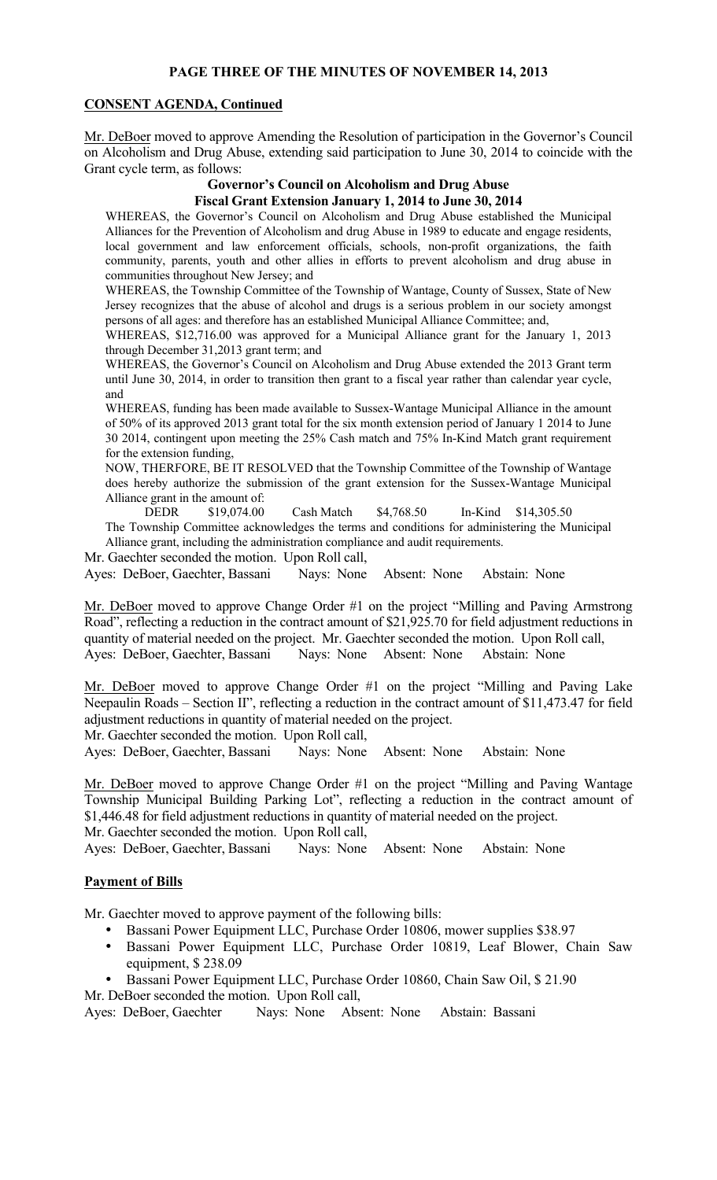# **PAGE THREE OF THE MINUTES OF NOVEMBER 14, 2013**

## **CONSENT AGENDA, Continued**

Mr. DeBoer moved to approve Amending the Resolution of participation in the Governor's Council on Alcoholism and Drug Abuse, extending said participation to June 30, 2014 to coincide with the Grant cycle term, as follows:

# **Governor's Council on Alcoholism and Drug Abuse**

# **Fiscal Grant Extension January 1, 2014 to June 30, 2014**

WHEREAS, the Governor's Council on Alcoholism and Drug Abuse established the Municipal Alliances for the Prevention of Alcoholism and drug Abuse in 1989 to educate and engage residents, local government and law enforcement officials, schools, non-profit organizations, the faith community, parents, youth and other allies in efforts to prevent alcoholism and drug abuse in communities throughout New Jersey; and

WHEREAS, the Township Committee of the Township of Wantage, County of Sussex, State of New Jersey recognizes that the abuse of alcohol and drugs is a serious problem in our society amongst persons of all ages: and therefore has an established Municipal Alliance Committee; and,

WHEREAS, \$12,716.00 was approved for a Municipal Alliance grant for the January 1, 2013 through December 31,2013 grant term; and

WHEREAS, the Governor's Council on Alcoholism and Drug Abuse extended the 2013 Grant term until June 30, 2014, in order to transition then grant to a fiscal year rather than calendar year cycle, and

WHEREAS, funding has been made available to Sussex-Wantage Municipal Alliance in the amount of 50% of its approved 2013 grant total for the six month extension period of January 1 2014 to June 30 2014, contingent upon meeting the 25% Cash match and 75% In-Kind Match grant requirement for the extension funding,

NOW, THERFORE, BE IT RESOLVED that the Township Committee of the Township of Wantage does hereby authorize the submission of the grant extension for the Sussex-Wantage Municipal Alliance grant in the amount of:<br>DEDR \$19,074.00

DEDR \$19,074.00 Cash Match \$4,768.50 In-Kind \$14,305.50 The Township Committee acknowledges the terms and conditions for administering the Municipal Alliance grant, including the administration compliance and audit requirements.

Mr. Gaechter seconded the motion. Upon Roll call,

Ayes: DeBoer, Gaechter, Bassani Nays: None Absent: None Abstain: None

Mr. DeBoer moved to approve Change Order #1 on the project "Milling and Paving Armstrong Road", reflecting a reduction in the contract amount of \$21,925.70 for field adjustment reductions in quantity of material needed on the project. Mr. Gaechter seconded the motion. Upon Roll call, Ayes: DeBoer, Gaechter, Bassani Nays: None Absent: None Abstain: None

Mr. DeBoer moved to approve Change Order #1 on the project "Milling and Paving Lake Neepaulin Roads – Section II", reflecting a reduction in the contract amount of \$11,473.47 for field adjustment reductions in quantity of material needed on the project.

Mr. Gaechter seconded the motion. Upon Roll call,

Ayes: DeBoer, Gaechter, Bassani Nays: None Absent: None Abstain: None

Mr. DeBoer moved to approve Change Order #1 on the project "Milling and Paving Wantage Township Municipal Building Parking Lot", reflecting a reduction in the contract amount of \$1,446.48 for field adjustment reductions in quantity of material needed on the project.

Mr. Gaechter seconded the motion. Upon Roll call,

Ayes: DeBoer, Gaechter, Bassani Nays: None Absent: None Abstain: None

# **Payment of Bills**

Mr. Gaechter moved to approve payment of the following bills:

- Bassani Power Equipment LLC, Purchase Order 10806, mower supplies \$38.97
- Bassani Power Equipment LLC, Purchase Order 10819, Leaf Blower, Chain Saw equipment, \$ 238.09
- Bassani Power Equipment LLC, Purchase Order 10860, Chain Saw Oil, \$ 21.90
- Mr. DeBoer seconded the motion. Upon Roll call,

Ayes: DeBoer, Gaechter Nays: None Absent: None Abstain: Bassani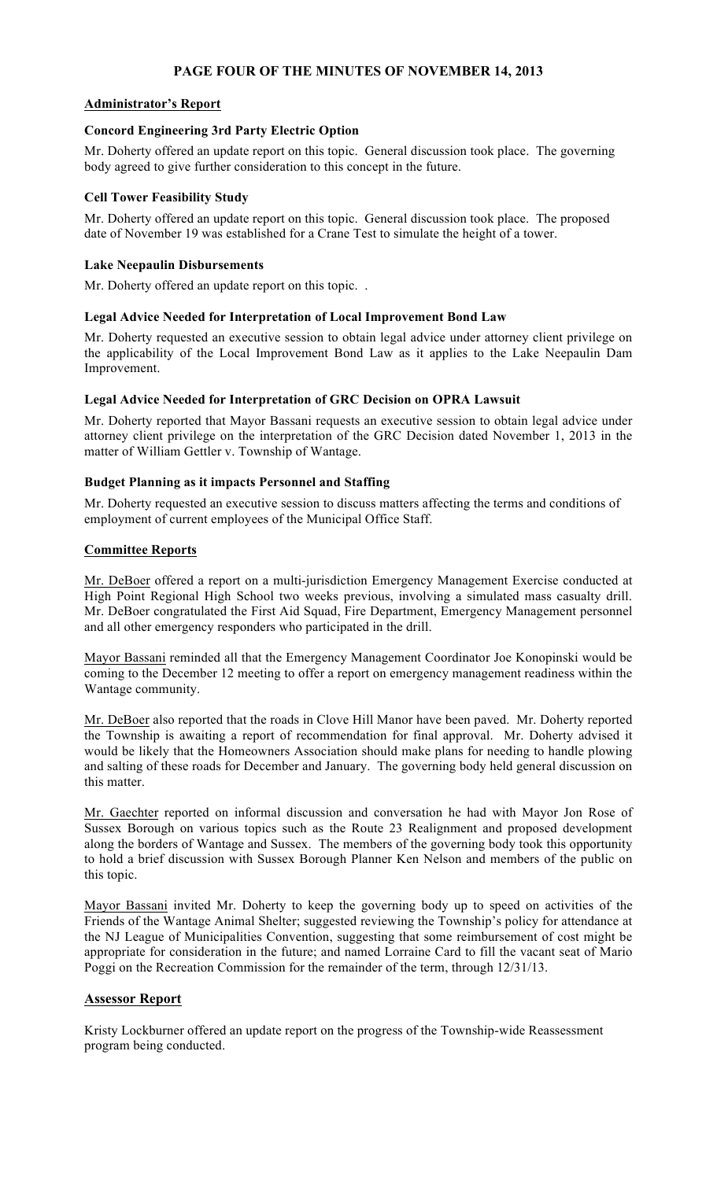# **PAGE FOUR OF THE MINUTES OF NOVEMBER 14, 2013**

## **Administrator's Report**

#### **Concord Engineering 3rd Party Electric Option**

Mr. Doherty offered an update report on this topic. General discussion took place. The governing body agreed to give further consideration to this concept in the future.

#### **Cell Tower Feasibility Study**

Mr. Doherty offered an update report on this topic. General discussion took place. The proposed date of November 19 was established for a Crane Test to simulate the height of a tower.

#### **Lake Neepaulin Disbursements**

Mr. Doherty offered an update report on this topic. .

#### **Legal Advice Needed for Interpretation of Local Improvement Bond Law**

Mr. Doherty requested an executive session to obtain legal advice under attorney client privilege on the applicability of the Local Improvement Bond Law as it applies to the Lake Neepaulin Dam Improvement.

#### **Legal Advice Needed for Interpretation of GRC Decision on OPRA Lawsuit**

Mr. Doherty reported that Mayor Bassani requests an executive session to obtain legal advice under attorney client privilege on the interpretation of the GRC Decision dated November 1, 2013 in the matter of William Gettler v. Township of Wantage.

#### **Budget Planning as it impacts Personnel and Staffing**

Mr. Doherty requested an executive session to discuss matters affecting the terms and conditions of employment of current employees of the Municipal Office Staff.

#### **Committee Reports**

Mr. DeBoer offered a report on a multi-jurisdiction Emergency Management Exercise conducted at High Point Regional High School two weeks previous, involving a simulated mass casualty drill. Mr. DeBoer congratulated the First Aid Squad, Fire Department, Emergency Management personnel and all other emergency responders who participated in the drill.

Mayor Bassani reminded all that the Emergency Management Coordinator Joe Konopinski would be coming to the December 12 meeting to offer a report on emergency management readiness within the Wantage community.

Mr. DeBoer also reported that the roads in Clove Hill Manor have been paved. Mr. Doherty reported the Township is awaiting a report of recommendation for final approval. Mr. Doherty advised it would be likely that the Homeowners Association should make plans for needing to handle plowing and salting of these roads for December and January. The governing body held general discussion on this matter.

Mr. Gaechter reported on informal discussion and conversation he had with Mayor Jon Rose of Sussex Borough on various topics such as the Route 23 Realignment and proposed development along the borders of Wantage and Sussex. The members of the governing body took this opportunity to hold a brief discussion with Sussex Borough Planner Ken Nelson and members of the public on this topic.

Mayor Bassani invited Mr. Doherty to keep the governing body up to speed on activities of the Friends of the Wantage Animal Shelter; suggested reviewing the Township's policy for attendance at the NJ League of Municipalities Convention, suggesting that some reimbursement of cost might be appropriate for consideration in the future; and named Lorraine Card to fill the vacant seat of Mario Poggi on the Recreation Commission for the remainder of the term, through 12/31/13.

# **Assessor Report**

Kristy Lockburner offered an update report on the progress of the Township-wide Reassessment program being conducted.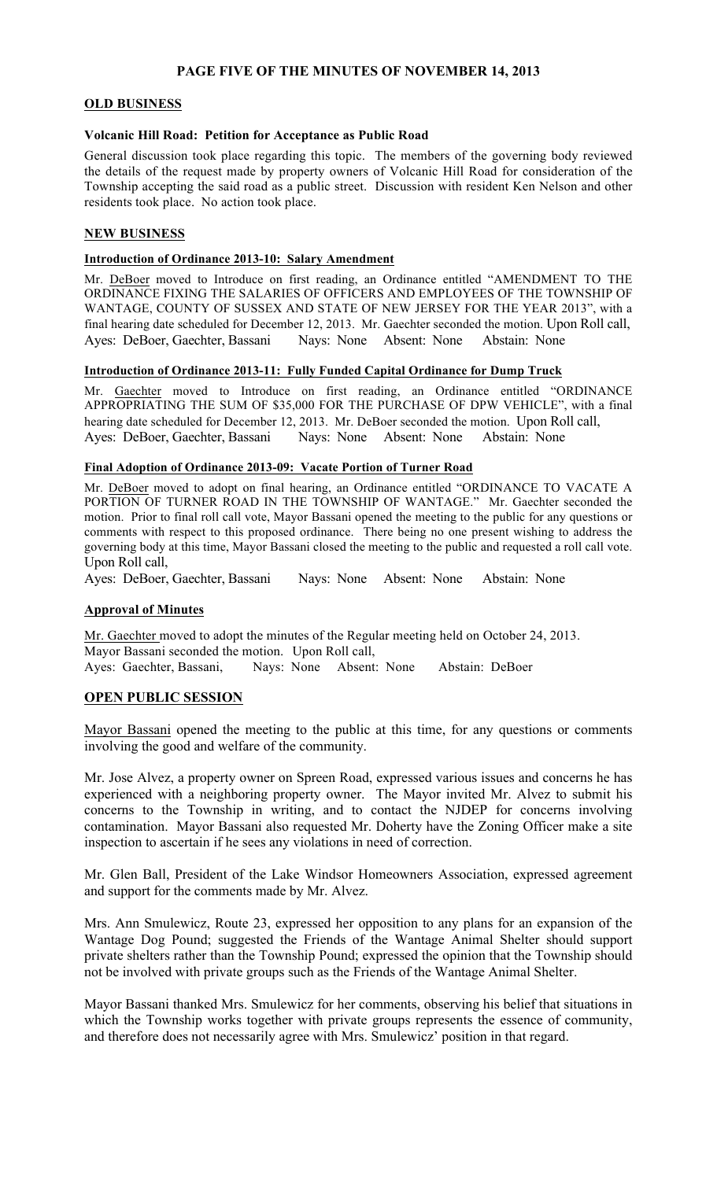# **PAGE FIVE OF THE MINUTES OF NOVEMBER 14, 2013**

## **OLD BUSINESS**

#### **Volcanic Hill Road: Petition for Acceptance as Public Road**

General discussion took place regarding this topic. The members of the governing body reviewed the details of the request made by property owners of Volcanic Hill Road for consideration of the Township accepting the said road as a public street. Discussion with resident Ken Nelson and other residents took place. No action took place.

## **NEW BUSINESS**

#### **Introduction of Ordinance 2013-10: Salary Amendment**

Mr. DeBoer moved to Introduce on first reading, an Ordinance entitled "AMENDMENT TO THE ORDINANCE FIXING THE SALARIES OF OFFICERS AND EMPLOYEES OF THE TOWNSHIP OF WANTAGE, COUNTY OF SUSSEX AND STATE OF NEW JERSEY FOR THE YEAR 2013", with a final hearing date scheduled for December 12, 2013. Mr. Gaechter seconded the motion. Upon Roll call, Ayes: DeBoer, Gaechter, Bassani Nays: None Absent: None Abstain: None

#### **Introduction of Ordinance 2013-11: Fully Funded Capital Ordinance for Dump Truck**

Mr. Gaechter moved to Introduce on first reading, an Ordinance entitled "ORDINANCE APPROPRIATING THE SUM OF \$35,000 FOR THE PURCHASE OF DPW VEHICLE", with a final hearing date scheduled for December 12, 2013. Mr. DeBoer seconded the motion. Upon Roll call, Ayes: DeBoer, Gaechter, Bassani Nays: None Absent: None Abstain: None

#### **Final Adoption of Ordinance 2013-09: Vacate Portion of Turner Road**

Mr. DeBoer moved to adopt on final hearing, an Ordinance entitled "ORDINANCE TO VACATE A PORTION OF TURNER ROAD IN THE TOWNSHIP OF WANTAGE." Mr. Gaechter seconded the motion. Prior to final roll call vote, Mayor Bassani opened the meeting to the public for any questions or comments with respect to this proposed ordinance. There being no one present wishing to address the governing body at this time, Mayor Bassani closed the meeting to the public and requested a roll call vote. Upon Roll call,

Ayes: DeBoer, Gaechter, Bassani Nays: None Absent: None Abstain: None

# **Approval of Minutes**

Mr. Gaechter moved to adopt the minutes of the Regular meeting held on October 24, 2013. Mayor Bassani seconded the motion. Upon Roll call, Ayes: Gaechter, Bassani, Nays: None Absent: None Abstain: DeBoer

# **OPEN PUBLIC SESSION**

Mayor Bassani opened the meeting to the public at this time, for any questions or comments involving the good and welfare of the community.

Mr. Jose Alvez, a property owner on Spreen Road, expressed various issues and concerns he has experienced with a neighboring property owner. The Mayor invited Mr. Alvez to submit his concerns to the Township in writing, and to contact the NJDEP for concerns involving contamination. Mayor Bassani also requested Mr. Doherty have the Zoning Officer make a site inspection to ascertain if he sees any violations in need of correction.

Mr. Glen Ball, President of the Lake Windsor Homeowners Association, expressed agreement and support for the comments made by Mr. Alvez.

Mrs. Ann Smulewicz, Route 23, expressed her opposition to any plans for an expansion of the Wantage Dog Pound; suggested the Friends of the Wantage Animal Shelter should support private shelters rather than the Township Pound; expressed the opinion that the Township should not be involved with private groups such as the Friends of the Wantage Animal Shelter.

Mayor Bassani thanked Mrs. Smulewicz for her comments, observing his belief that situations in which the Township works together with private groups represents the essence of community, and therefore does not necessarily agree with Mrs. Smulewicz' position in that regard.